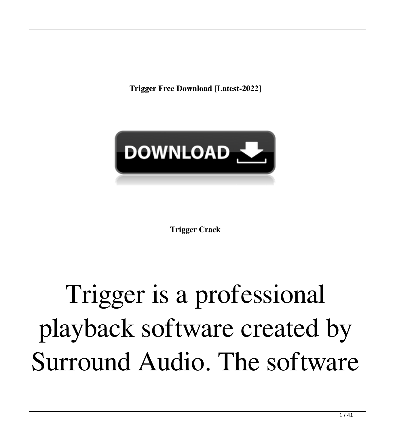**Trigger Free Download [Latest-2022]**



**Trigger Crack**

## Trigger is a professional playback software created by Surround Audio. The software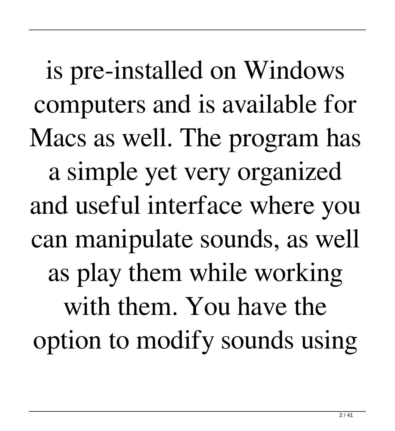is pre-installed on Windows computers and is available for Macs as well. The program has a simple yet very organized and useful interface where you can manipulate sounds, as well as play them while working with them. You have the option to modify sounds using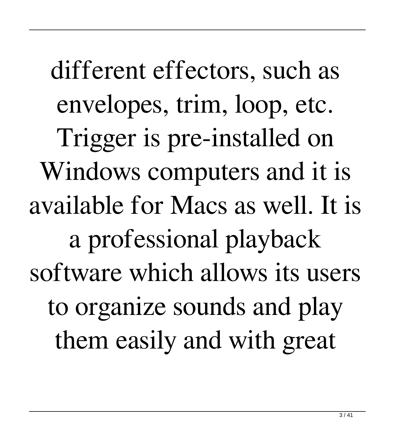different effectors, such as envelopes, trim, loop, etc. Trigger is pre-installed on Windows computers and it is available for Macs as well. It is a professional playback software which allows its users to organize sounds and play them easily and with great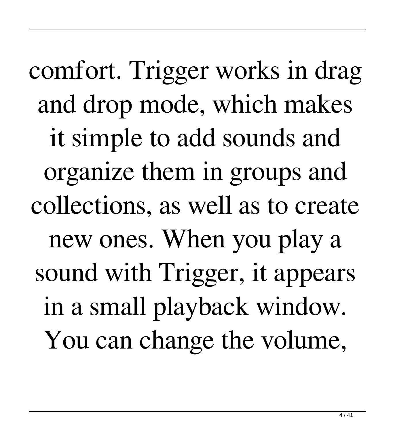comfort. Trigger works in drag and drop mode, which makes it simple to add sounds and organize them in groups and collections, as well as to create new ones. When you play a sound with Trigger, it appears in a small playback window. You can change the volume,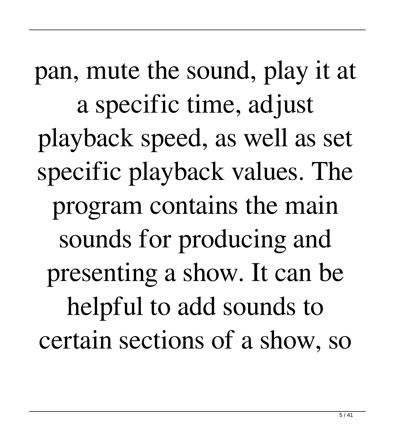pan, mute the sound, play it at a specific time, adjust playback speed, as well as set specific playback values. The program contains the main sounds for producing and presenting a show. It can be helpful to add sounds to certain sections of a show, so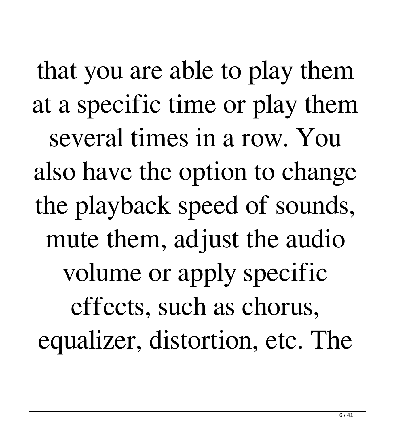that you are able to play them at a specific time or play them several times in a row. You also have the option to change the playback speed of sounds, mute them, adjust the audio volume or apply specific effects, such as chorus, equalizer, distortion, etc. The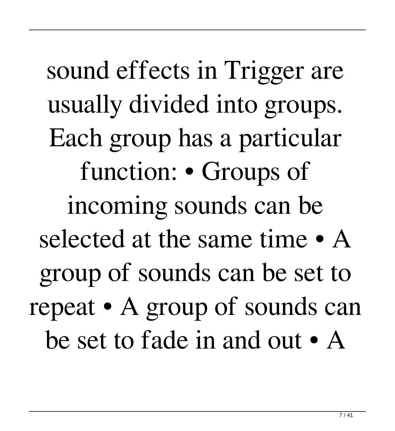sound effects in Trigger are usually divided into groups. Each group has a particular function: • Groups of incoming sounds can be selected at the same time • A group of sounds can be set to repeat • A group of sounds can be set to fade in and out • A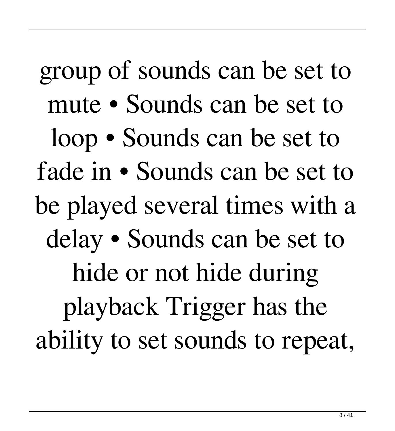group of sounds can be set to mute • Sounds can be set to loop • Sounds can be set to fade in • Sounds can be set to be played several times with a delay • Sounds can be set to hide or not hide during playback Trigger has the ability to set sounds to repeat,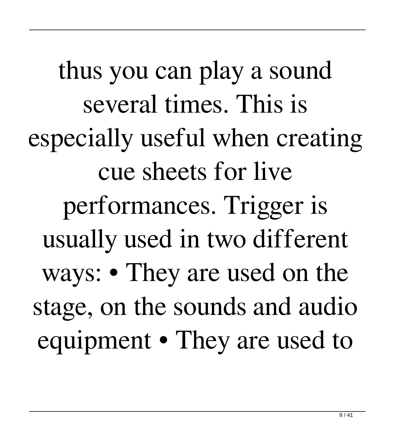thus you can play a sound several times. This is especially useful when creating cue sheets for live performances. Trigger is usually used in two different ways: • They are used on the stage, on the sounds and audio equipment • They are used to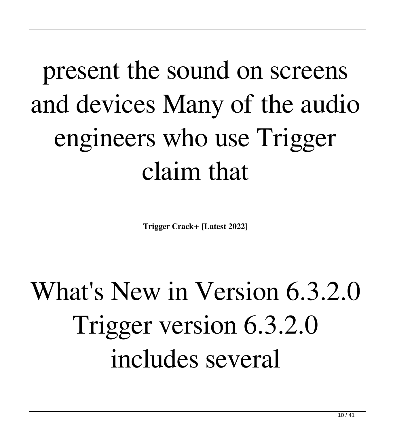## present the sound on screens and devices Many of the audio engineers who use Trigger claim that

**Trigger Crack+ [Latest 2022]**

## What's New in Version 6.3.2.0 Trigger version 6.3.2.0 includes several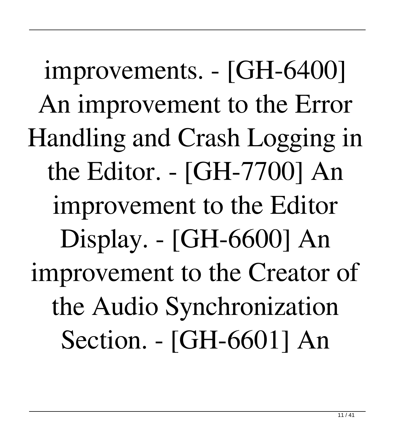improvements. - [GH-6400] An improvement to the Error Handling and Crash Logging in the Editor. - [GH-7700] An improvement to the Editor Display. - [GH-6600] An improvement to the Creator of the Audio Synchronization Section. - [GH-6601] An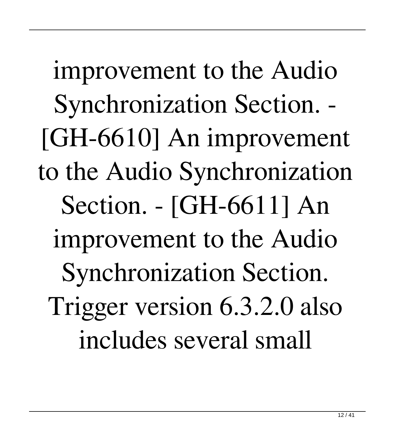improvement to the Audio Synchronization Section. - [GH-6610] An improvement to the Audio Synchronization Section. - [GH-6611] An improvement to the Audio Synchronization Section. Trigger version 6.3.2.0 also includes several small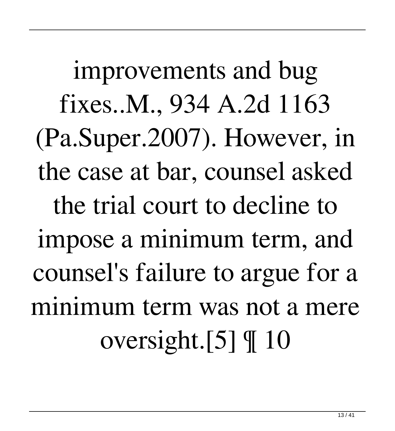improvements and bug fixes..M., 934 A.2d 1163 (Pa.Super.2007). However, in the case at bar, counsel asked the trial court to decline to impose a minimum term, and counsel's failure to argue for a minimum term was not a mere oversight.[5] ¶ 10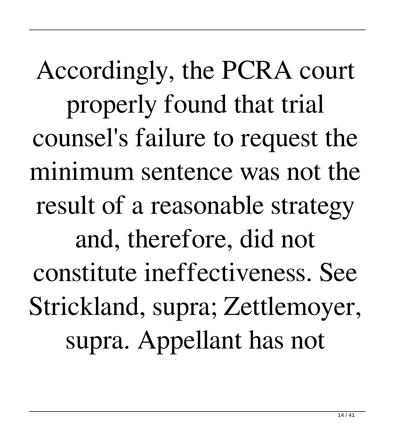Accordingly, the PCRA court properly found that trial counsel's failure to request the minimum sentence was not the result of a reasonable strategy and, therefore, did not constitute ineffectiveness. See Strickland, supra; Zettlemoyer, supra. Appellant has not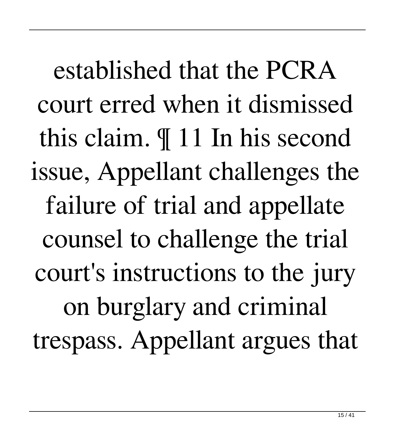established that the PCRA court erred when it dismissed this claim. ¶ 11 In his second issue, Appellant challenges the failure of trial and appellate counsel to challenge the trial court's instructions to the jury on burglary and criminal trespass. Appellant argues that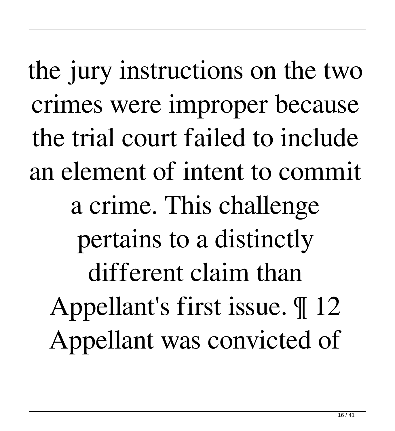the jury instructions on the two crimes were improper because the trial court failed to include an element of intent to commit a crime. This challenge pertains to a distinctly different claim than Appellant's first issue. ¶ 12 Appellant was convicted of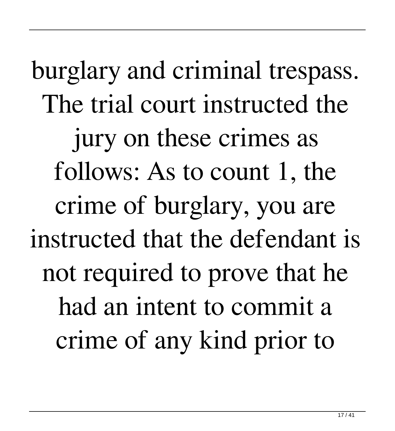burglary and criminal trespass. The trial court instructed the jury on these crimes as follows: As to count 1, the crime of burglary, you are instructed that the defendant is not required to prove that he had an intent to commit a crime of any kind prior to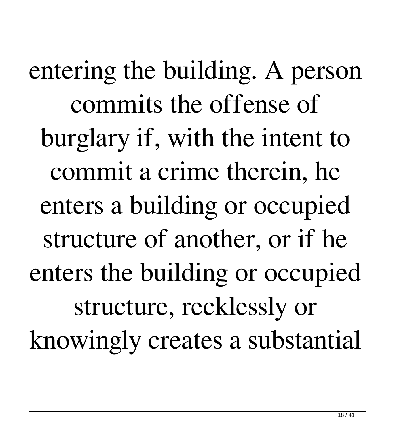entering the building. A person commits the offense of burglary if, with the intent to commit a crime therein, he enters a building or occupied structure of another, or if he enters the building or occupied structure, recklessly or knowingly creates a substantial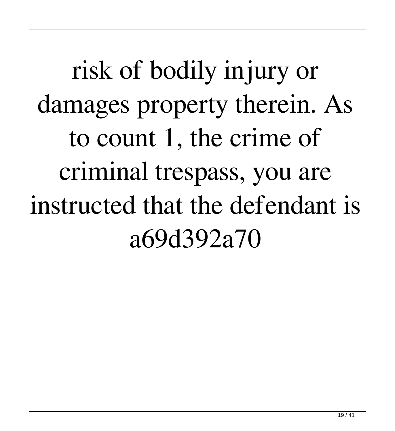risk of bodily injury or damages property therein. As to count 1, the crime of criminal trespass, you are instructed that the defendant is a69d392a70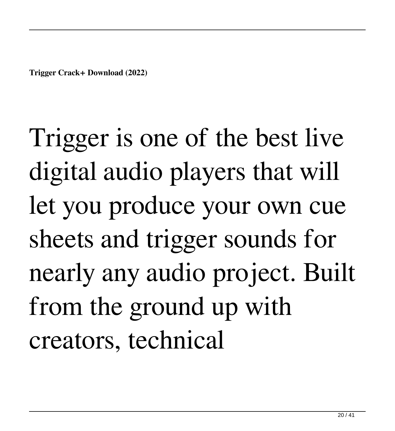**Trigger Crack+ Download (2022)**

Trigger is one of the best live digital audio players that will let you produce your own cue sheets and trigger sounds for nearly any audio project. Built from the ground up with creators, technical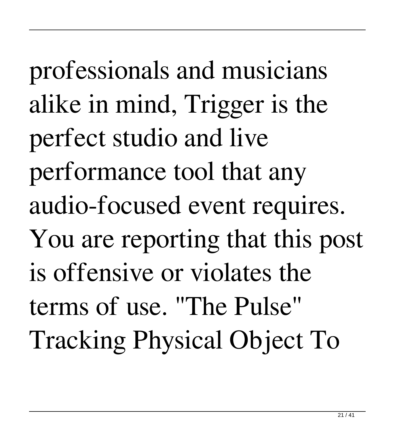professionals and musicians alike in mind, Trigger is the perfect studio and live performance tool that any audio-focused event requires. You are reporting that this post is offensive or violates the terms of use. "The Pulse" Tracking Physical Object To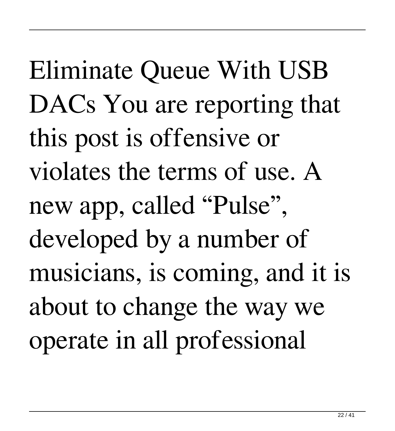Eliminate Queue With USB DACs You are reporting that this post is offensive or violates the terms of use. A new app, called "Pulse", developed by a number of musicians, is coming, and it is about to change the way we operate in all professional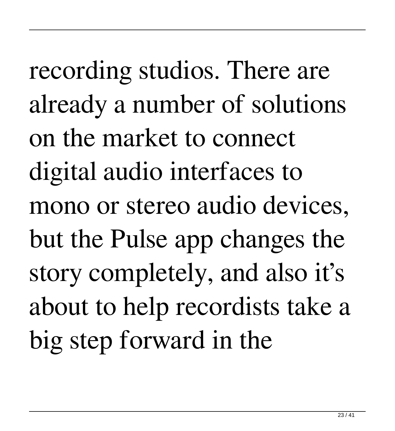recording studios. There are already a number of solutions on the market to connect digital audio interfaces to mono or stereo audio devices, but the Pulse app changes the story completely, and also it's about to help recordists take a big step forward in the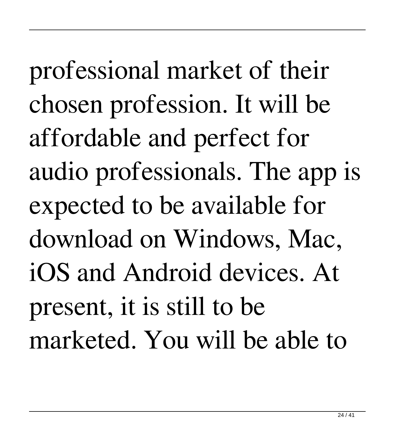professional market of their chosen profession. It will be affordable and perfect for audio professionals. The app is expected to be available for download on Windows, Mac, iOS and Android devices. At present, it is still to be marketed. You will be able to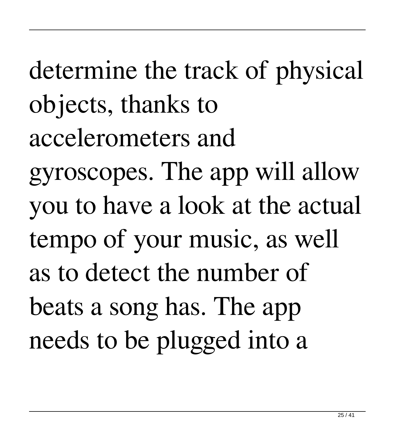determine the track of physical objects, thanks to accelerometers and gyroscopes. The app will allow you to have a look at the actual tempo of your music, as well as to detect the number of beats a song has. The app needs to be plugged into a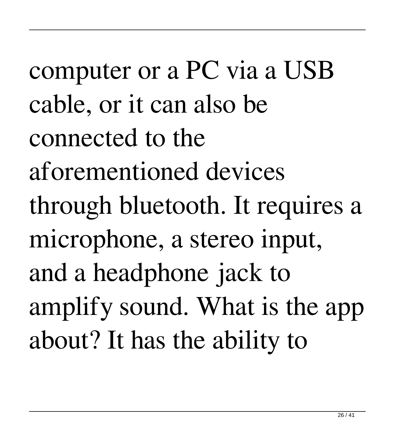computer or a PC via a USB cable, or it can also be connected to the aforementioned devices through bluetooth. It requires a microphone, a stereo input, and a headphone jack to amplify sound. What is the app about? It has the ability to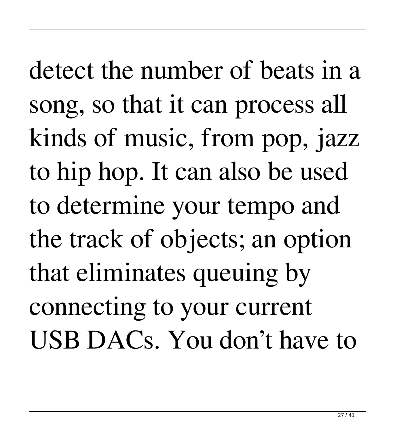detect the number of beats in a song, so that it can process all kinds of music, from pop, jazz to hip hop. It can also be used to determine your tempo and the track of objects; an option that eliminates queuing by connecting to your current USB DACs. You don't have to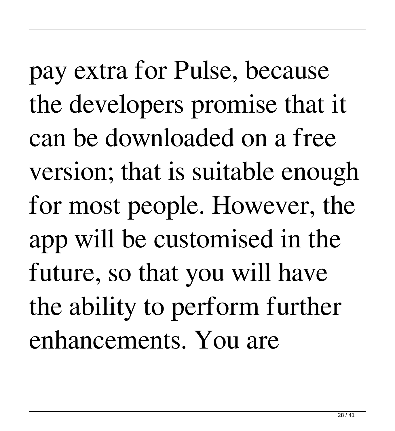pay extra for Pulse, because the developers promise that it can be downloaded on a free version; that is suitable enough for most people. However, the app will be customised in the future, so that you will have the ability to perform further enhancements. You are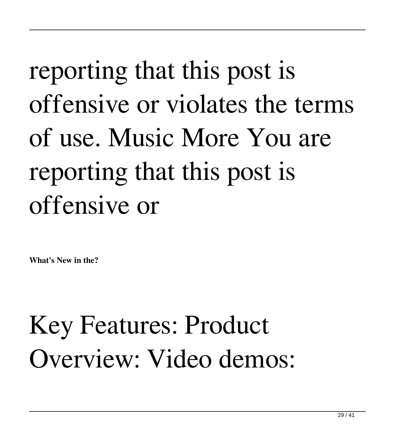## reporting that this post is offensive or violates the terms of use. Music More You are reporting that this post is offensive or

**What's New in the?**

Key Features: Product Overview: Video demos: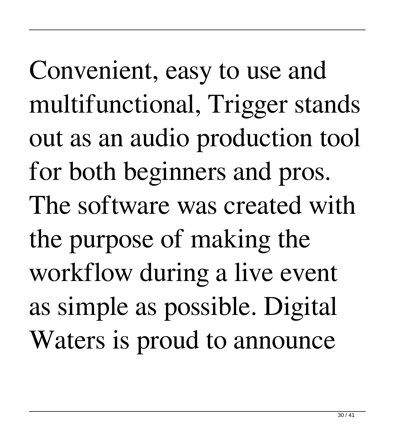Convenient, easy to use and multifunctional, Trigger stands out as an audio production tool for both beginners and pros. The software was created with the purpose of making the workflow during a live event as simple as possible. Digital Waters is proud to announce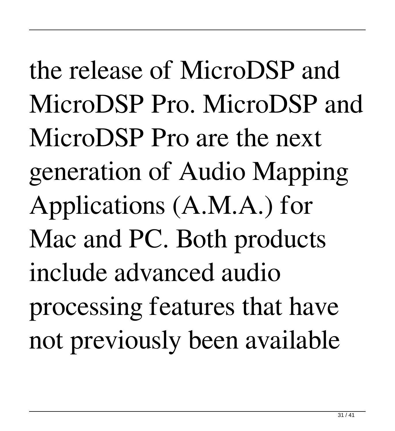the release of MicroDSP and MicroDSP Pro. MicroDSP and MicroDSP Pro are the next generation of Audio Mapping Applications (A.M.A.) for Mac and PC. Both products include advanced audio processing features that have not previously been available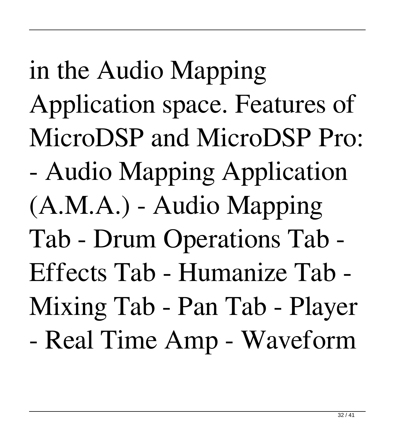in the Audio Mapping Application space. Features of MicroDSP and MicroDSP Pro: - Audio Mapping Application (A.M.A.) - Audio Mapping Tab - Drum Operations Tab - Effects Tab - Humanize Tab - Mixing Tab - Pan Tab - Player - Real Time Amp - Waveform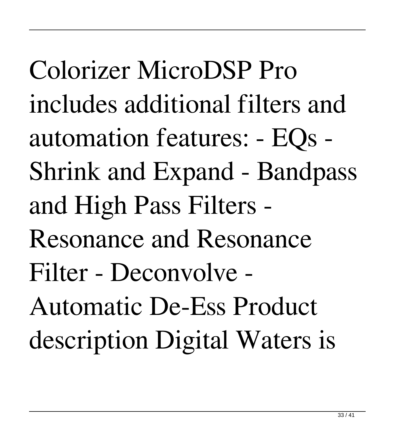Colorizer MicroDSP Pro includes additional filters and automation features: - EQs - Shrink and Expand - Bandpass and High Pass Filters - Resonance and Resonance Filter - Deconvolve - Automatic De-Ess Product description Digital Waters is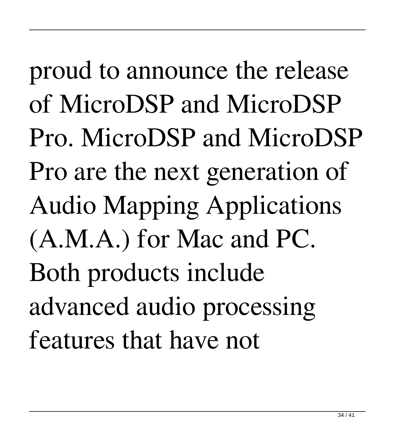proud to announce the release of MicroDSP and MicroDSP Pro. MicroDSP and MicroDSP Pro are the next generation of Audio Mapping Applications (A.M.A.) for Mac and PC. Both products include advanced audio processing features that have not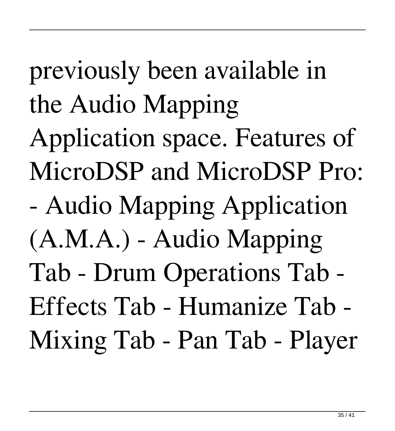previously been available in the Audio Mapping Application space. Features of MicroDSP and MicroDSP Pro: - Audio Mapping Application (A.M.A.) - Audio Mapping Tab - Drum Operations Tab - Effects Tab - Humanize Tab - Mixing Tab - Pan Tab - Player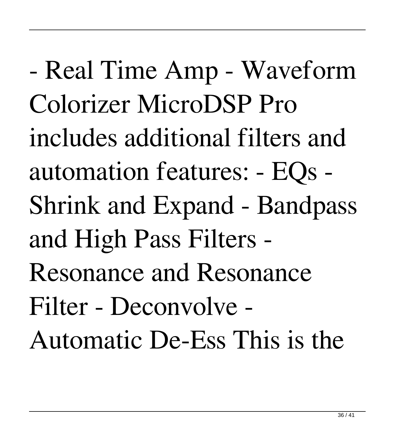- Real Time Amp - Waveform Colorizer MicroDSP Pro includes additional filters and automation features: - EQs - Shrink and Expand - Bandpass and High Pass Filters - Resonance and Resonance Filter - Deconvolve - Automatic De-Ess This is the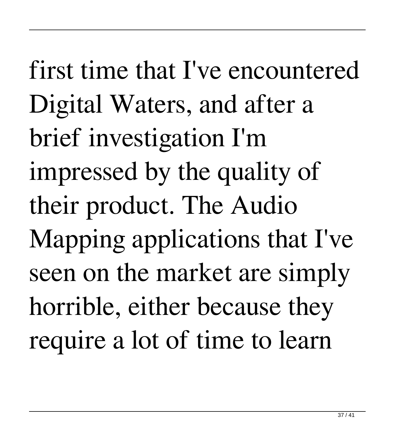first time that I've encountered Digital Waters, and after a brief investigation I'm impressed by the quality of their product. The Audio Mapping applications that I've seen on the market are simply horrible, either because they require a lot of time to learn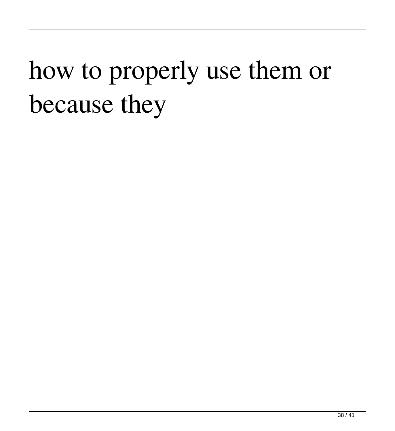#### how to properly use them or because they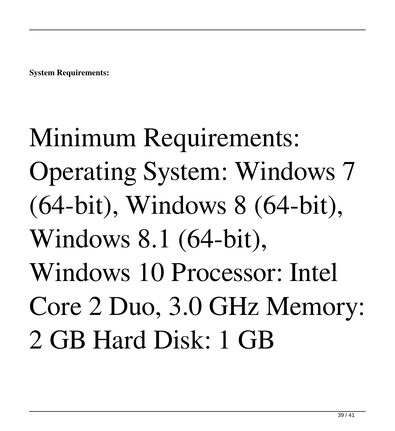**System Requirements:**

Minimum Requirements: Operating System: Windows 7 (64-bit), Windows 8 (64-bit), Windows 8.1 (64-bit), Windows 10 Processor: Intel Core 2 Duo, 3.0 GHz Memory: 2 GB Hard Disk: 1 GB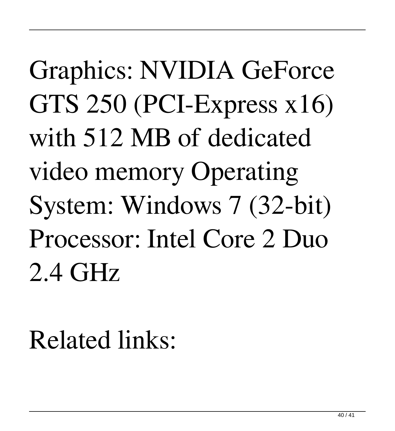# Graphics: NVIDIA GeForce GTS 250 (PCI-Express x16) with 512 MB of dedicated video memory Operating System: Windows 7 (32-bit) Processor: Intel Core 2 Duo 2.4 GHz

#### Related links: